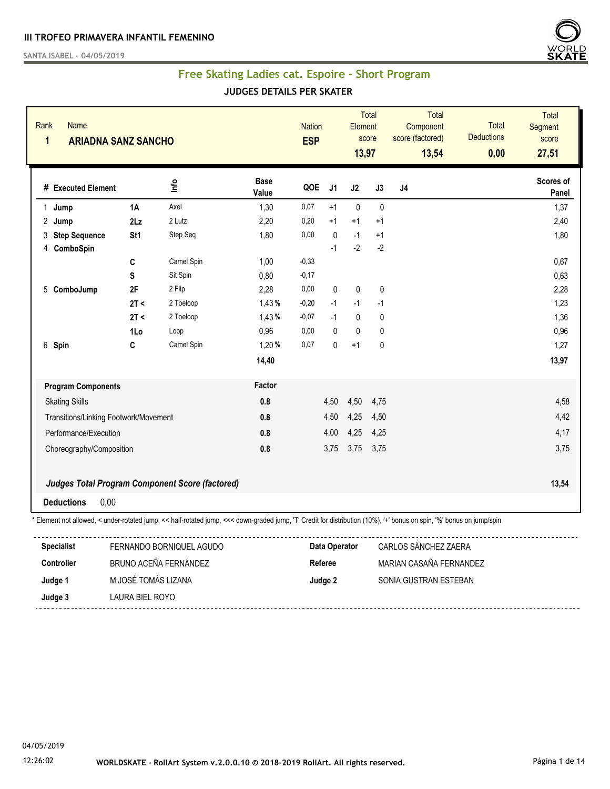**SANTA ISABEL - 04/05/2019**



#### **Free Skating Ladies cat. Espoire - Short Program**

#### **JUDGES DETAILS PER SKATER**

| Rank<br>$\mathbf{1}$ | Name<br><b>ARIADNA SANZ SANCHO</b>    |      |                                                 |                      | <b>Nation</b><br><b>ESP</b> |                | Element<br>13,97 | <b>Total</b><br>score | Total<br>Component<br>score (factored)<br>13,54 | <b>Total</b><br><b>Deductions</b><br>0,00 | <b>Total</b><br><b>Segment</b><br>score<br>27,51 |
|----------------------|---------------------------------------|------|-------------------------------------------------|----------------------|-----------------------------|----------------|------------------|-----------------------|-------------------------------------------------|-------------------------------------------|--------------------------------------------------|
|                      | # Executed Element                    |      | ۴ų                                              | <b>Base</b><br>Value | QOE                         | J <sub>1</sub> | J2               | J3                    | J <sub>4</sub>                                  |                                           | Scores of<br>Panel                               |
| $\mathbf{1}$         | Jump                                  | 1A   | Axel                                            | 1,30                 | 0,07                        | $+1$           | $\mathbf 0$      | $\mathbf 0$           |                                                 |                                           | 1,37                                             |
| 2                    | Jump                                  | 2Lz  | 2 Lutz                                          | 2,20                 | 0,20                        | $+1$           | $+1$             | $+1$                  |                                                 |                                           | 2,40                                             |
| 3                    | <b>Step Sequence</b>                  | St1  | Step Seq                                        | 1,80                 | 0,00                        | $\pmb{0}$      | $-1$             | $+1$                  |                                                 |                                           | 1,80                                             |
| 4                    | ComboSpin                             |      |                                                 |                      |                             | $-1$           | $-2$             | $-2$                  |                                                 |                                           |                                                  |
|                      |                                       | C    | Camel Spin                                      | 1,00                 | $-0,33$                     |                |                  |                       |                                                 |                                           | 0,67                                             |
|                      |                                       | S    | Sit Spin                                        | 0,80                 | $-0,17$                     |                |                  |                       |                                                 |                                           | 0,63                                             |
| $5\overline{)}$      | ComboJump                             | 2F   | 2 Flip                                          | 2,28                 | 0,00                        | 0              | $\pmb{0}$        | $\pmb{0}$             |                                                 |                                           | 2,28                                             |
|                      |                                       | 2T < | 2 Toeloop                                       | 1,43%                | $-0,20$                     | $-1$           | $-1$             | $-1$                  |                                                 |                                           | 1,23                                             |
|                      |                                       | 2T < | 2 Toeloop                                       | 1,43%                | $-0,07$                     | $-1$           | $\mathbf 0$      | $\pmb{0}$             |                                                 |                                           | 1,36                                             |
|                      |                                       | 1Lo  | Loop                                            | 0,96                 | 0,00                        | $\Omega$       | $\mathbf{0}$     | $\mathbf 0$           |                                                 |                                           | 0,96                                             |
|                      | 6 Spin                                | C    | Camel Spin                                      | 1,20%                | 0,07                        | 0              | $+1$             | $\pmb{0}$             |                                                 |                                           | 1,27                                             |
|                      |                                       |      |                                                 | 14,40                |                             |                |                  |                       |                                                 |                                           | 13,97                                            |
|                      | <b>Program Components</b>             |      |                                                 | Factor               |                             |                |                  |                       |                                                 |                                           |                                                  |
|                      | <b>Skating Skills</b>                 |      |                                                 | 0.8                  |                             | 4,50           | 4,50             | 4,75                  |                                                 |                                           | 4,58                                             |
|                      | Transitions/Linking Footwork/Movement |      |                                                 | 0.8                  |                             | 4,50           | 4,25             | 4,50                  |                                                 |                                           | 4,42                                             |
|                      | Performance/Execution                 |      |                                                 | 0.8                  |                             | 4,00           | 4,25             | 4,25                  |                                                 |                                           | 4,17                                             |
|                      | Choreography/Composition              |      |                                                 | 0.8                  |                             | 3,75           | 3,75             | 3,75                  |                                                 |                                           | 3,75                                             |
|                      |                                       |      | Judges Total Program Component Score (factored) |                      |                             |                |                  |                       |                                                 |                                           | 13,54                                            |
|                      | 0,00<br><b>Deductions</b>             |      |                                                 |                      |                             |                |                  |                       |                                                 |                                           |                                                  |

\* Element not allowed, < under-rotated jump, << half-rotated jump, <<< down-graded jump, 'T' Credit for distribution (10%), '+' bonus on spin, '%' bonus on jump/spin

| <b>Specialist</b> | FERNANDO BORNIQUEL AGUDO | Data Operator | CARLOS SÁNCHEZ ZAERA    |
|-------------------|--------------------------|---------------|-------------------------|
| <b>Controller</b> | BRUNO ACEÑA FERNÁNDEZ    | Referee       | MARIAN CASAÑA FFRNANDFZ |
| Judge 1           | M JOSÉ TOMÁS LIZANA      | Judge 2       | SONIA GUSTRAN ESTEBAN   |
| Judge 3           | LAURA BIEL ROYO          |               |                         |
|                   |                          |               |                         |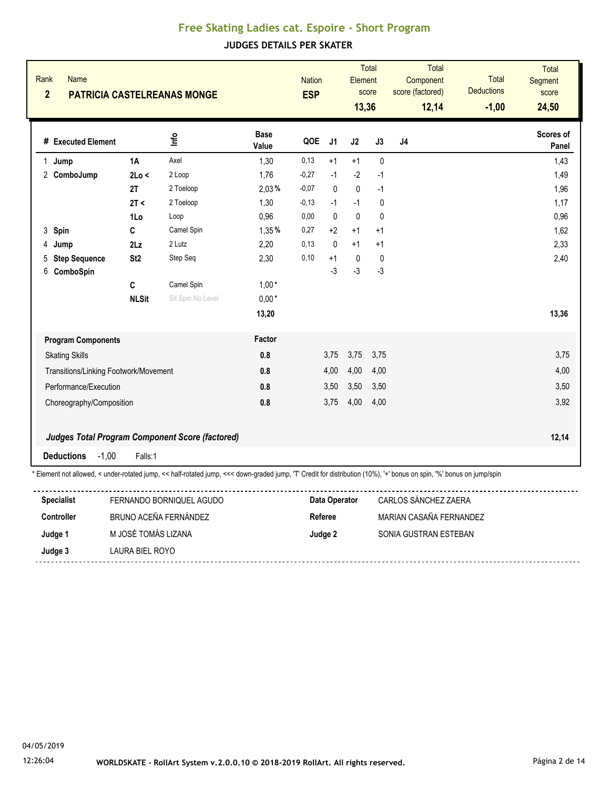| Rank<br>$\overline{2}$ | <b>Name</b>                           |                 | <b>PATRICIA CASTELREANAS MONGE</b>                                                                                                                                   |                      | <b>Nation</b><br><b>ESP</b> |                | Element<br>13,36 | <b>Total</b><br>score | <b>Total</b><br>Component<br>score (factored)<br>12,14 | <b>Total</b><br><b>Deductions</b><br>$-1,00$ | <b>Total</b><br>Segment<br>score<br>24,50 |
|------------------------|---------------------------------------|-----------------|----------------------------------------------------------------------------------------------------------------------------------------------------------------------|----------------------|-----------------------------|----------------|------------------|-----------------------|--------------------------------------------------------|----------------------------------------------|-------------------------------------------|
|                        | # Executed Element                    |                 | ۴ů                                                                                                                                                                   | <b>Base</b><br>Value | QOE                         | J <sub>1</sub> | J2               | J3                    | J <sub>4</sub>                                         |                                              | Scores of<br>Panel                        |
|                        | 1 Jump                                | 1A              | Axel                                                                                                                                                                 | 1,30                 | 0,13                        | $+1$           | $+1$             | $\mathbf{0}$          |                                                        |                                              | 1,43                                      |
|                        | 2 ComboJump                           | 2Lo <           | 2 Loop                                                                                                                                                               | 1,76                 | $-0,27$                     | $-1$           | $-2$             | $-1$                  |                                                        |                                              | 1,49                                      |
|                        |                                       | 2T              | 2 Toeloop                                                                                                                                                            | 2,03%                | $-0,07$                     | $\mathbf{0}$   | $\mathbf 0$      | $-1$                  |                                                        |                                              | 1,96                                      |
|                        |                                       | 2T <            | 2 Toeloop                                                                                                                                                            | 1,30                 | $-0,13$                     | $-1$           | $-1$             | 0                     |                                                        |                                              | 1,17                                      |
|                        |                                       | 1Lo             | Loop                                                                                                                                                                 | 0,96                 | 0,00                        | $\Omega$       | $\mathbf{0}$     | $\mathbf{0}$          |                                                        |                                              | 0,96                                      |
|                        | 3 Spin                                | C               | Camel Spin                                                                                                                                                           | 1,35%                | 0,27                        | $+2$           | $+1$             | $+1$                  |                                                        |                                              | 1,62                                      |
| 4                      | Jump                                  | 2 <sub>Lz</sub> | 2 Lutz                                                                                                                                                               | 2.20                 | 0.13                        | $\Omega$       | $+1$             | $+1$                  |                                                        |                                              | 2,33                                      |
| 5                      | <b>Step Sequence</b>                  | St <sub>2</sub> | Step Seq                                                                                                                                                             | 2,30                 | 0,10                        | $+1$           | 0                | $\mathbf{0}$          |                                                        |                                              | 2,40                                      |
| 6                      | ComboSpin                             |                 |                                                                                                                                                                      |                      |                             | $-3$           | $-3$             | $-3$                  |                                                        |                                              |                                           |
|                        |                                       | C               | Camel Spin                                                                                                                                                           | $1,00*$              |                             |                |                  |                       |                                                        |                                              |                                           |
|                        |                                       | <b>NLSit</b>    | Sit Spin No Level                                                                                                                                                    | $0,00*$              |                             |                |                  |                       |                                                        |                                              |                                           |
|                        |                                       |                 |                                                                                                                                                                      | 13,20                |                             |                |                  |                       |                                                        |                                              | 13,36                                     |
|                        | <b>Program Components</b>             |                 |                                                                                                                                                                      | Factor               |                             |                |                  |                       |                                                        |                                              |                                           |
|                        | <b>Skating Skills</b>                 |                 |                                                                                                                                                                      | 0.8                  |                             | 3,75           | 3,75             | 3,75                  |                                                        |                                              | 3,75                                      |
|                        | Transitions/Linking Footwork/Movement |                 |                                                                                                                                                                      | 0.8                  |                             | 4,00           | 4,00             | 4,00                  |                                                        |                                              | 4,00                                      |
|                        | Performance/Execution                 |                 |                                                                                                                                                                      | 0.8                  |                             | 3,50           | 3,50             | 3,50                  |                                                        |                                              | 3,50                                      |
|                        | Choreography/Composition              |                 |                                                                                                                                                                      | 0.8                  |                             | 3,75           | 4,00             | 4,00                  |                                                        |                                              | 3,92                                      |
|                        |                                       |                 |                                                                                                                                                                      |                      |                             |                |                  |                       |                                                        |                                              |                                           |
|                        |                                       |                 | Judges Total Program Component Score (factored)                                                                                                                      |                      |                             |                |                  |                       |                                                        |                                              | 12,14                                     |
|                        | <b>Deductions</b><br>$-1,00$          | Falls:1         |                                                                                                                                                                      |                      |                             |                |                  |                       |                                                        |                                              |                                           |
|                        |                                       |                 | * Element not allowed, < under-rotated jump, << half-rotated jump, <<< down-graded jump, 'T Credit for distribution (10%), '+' bonus on spin, '%' bonus on jump/spin |                      |                             |                |                  |                       |                                                        |                                              |                                           |
|                        | <b>Specialist</b>                     |                 | FERNANDO BORNIQUEL AGUDO                                                                                                                                             |                      |                             | Data Operator  |                  |                       | CARLOS SÁNCHEZ ZAERA                                   |                                              |                                           |
|                        | <b>Controller</b>                     |                 | BRUNO ACEÑA FERNÁNDEZ                                                                                                                                                |                      | Referee                     |                |                  |                       | MARIAN CASAÑA FERNANDEZ                                |                                              |                                           |

| --------- |                     | .       |                       |
|-----------|---------------------|---------|-----------------------|
| Judge 1   | M JOSÉ TOMÁS LIZANA | Judge 2 | SONIA GUSTRAN ESTEBAN |
| Judge 3   | LAURA BIEL ROYO     |         |                       |
|           |                     |         |                       |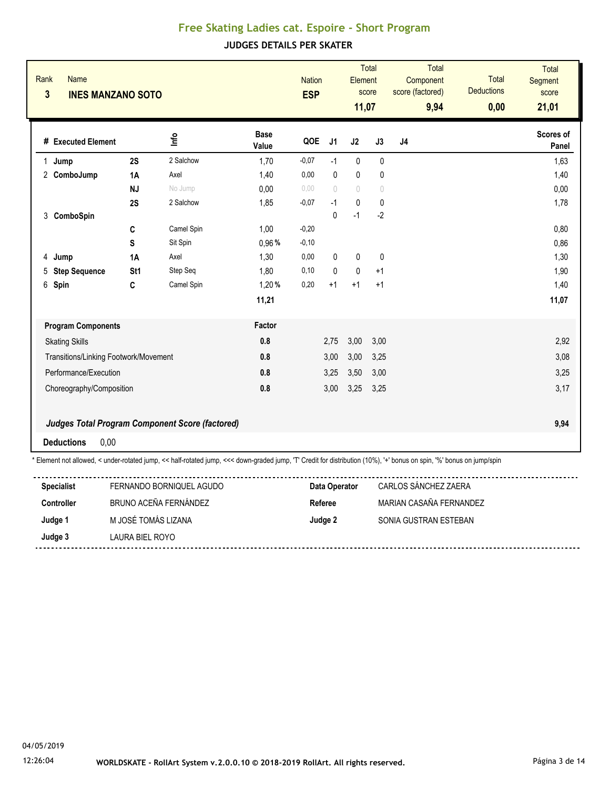| Rank<br>$\overline{\mathbf{3}}$ | <b>Name</b><br><b>INES MANZANO SOTO</b> |                 |                                                 |                      | <b>Nation</b><br><b>ESP</b> |                | Element<br>11,07 | <b>Total</b><br>score | Total<br>Component<br>score (factored)<br>9,94 | Total<br><b>Deductions</b><br>0,00 | <b>Total</b><br><b>Segment</b><br>score<br>21,01 |
|---------------------------------|-----------------------------------------|-----------------|-------------------------------------------------|----------------------|-----------------------------|----------------|------------------|-----------------------|------------------------------------------------|------------------------------------|--------------------------------------------------|
|                                 | # Executed Element                      |                 | lnfo                                            | <b>Base</b><br>Value | QOE                         | J <sub>1</sub> | J2               | J3                    | J <sub>4</sub>                                 |                                    | Scores of<br>Panel                               |
| 1.                              | Jump                                    | 2S              | 2 Salchow                                       | 1,70                 | $-0,07$                     | $-1$           | $\pmb{0}$        | $\pmb{0}$             |                                                |                                    | 1,63                                             |
|                                 | 2 ComboJump                             | 1A              | Axel                                            | 1,40                 | 0,00                        | $\mathbf{0}$   | $\pmb{0}$        | 0                     |                                                |                                    | 1,40                                             |
|                                 |                                         | <b>NJ</b>       | No Jump                                         | 0,00                 | 0.00                        | $\bigcap$      | $\bigcirc$       | $\sqrt{ }$            |                                                |                                    | 0,00                                             |
|                                 |                                         | 2S              | 2 Salchow                                       | 1,85                 | $-0,07$                     | $-1$           | $\mathbf 0$      | $\pmb{0}$             |                                                |                                    | 1,78                                             |
| 3                               | ComboSpin                               |                 |                                                 |                      |                             | 0              | $-1$             | $-2$                  |                                                |                                    |                                                  |
|                                 |                                         | C               | Camel Spin                                      | 1,00                 | $-0,20$                     |                |                  |                       |                                                |                                    | 0,80                                             |
|                                 |                                         | S               | Sit Spin                                        | 0,96%                | $-0,10$                     |                |                  |                       |                                                |                                    | 0,86                                             |
| 4                               | Jump                                    | 1A              | Axel                                            | 1,30                 | 0,00                        | $\mathbf{0}$   | $\mathbf{0}$     | $\mathbf{0}$          |                                                |                                    | 1,30                                             |
| 5                               | <b>Step Sequence</b>                    | St <sub>1</sub> | Step Seq                                        | 1,80                 | 0,10                        | $\mathbf{0}$   | $\mathbf{0}$     | $+1$                  |                                                |                                    | 1,90                                             |
|                                 | 6 Spin                                  | C               | Camel Spin                                      | 1,20%                | 0,20                        | $+1$           | $+1$             | $+1$                  |                                                |                                    | 1,40                                             |
|                                 |                                         |                 |                                                 | 11,21                |                             |                |                  |                       |                                                |                                    | 11,07                                            |
|                                 | <b>Program Components</b>               |                 |                                                 | Factor               |                             |                |                  |                       |                                                |                                    |                                                  |
|                                 | <b>Skating Skills</b>                   |                 |                                                 | 0.8                  |                             | 2,75           | 3,00             | 3,00                  |                                                |                                    | 2,92                                             |
|                                 | Transitions/Linking Footwork/Movement   |                 |                                                 | 0.8                  |                             | 3,00           | 3,00             | 3,25                  |                                                |                                    | 3,08                                             |
|                                 | Performance/Execution                   |                 |                                                 | 0.8                  |                             | 3,25           | 3,50             | 3,00                  |                                                |                                    | 3,25                                             |
|                                 | Choreography/Composition                |                 |                                                 | 0.8                  |                             | 3,00           | 3,25             | 3,25                  |                                                |                                    | 3,17                                             |
|                                 |                                         |                 | Judges Total Program Component Score (factored) |                      |                             |                |                  |                       |                                                |                                    | 9,94                                             |
|                                 | 0,00<br><b>Deductions</b>               |                 |                                                 |                      |                             |                |                  |                       |                                                |                                    |                                                  |

\* Element not allowed, < under-rotated jump, << half-rotated jump, <<< down-graded jump, 'T' Credit for distribution (10%), '+' bonus on spin, '%' bonus on jump/spin

| <b>Specialist</b> | FERNANDO BORNIQUEL AGUDO | Data Operator | CARLOS SÁNCHEZ ZAERA    |
|-------------------|--------------------------|---------------|-------------------------|
| <b>Controller</b> | BRUNO ACEÑA FERNÁNDEZ    | Referee       | MARIAN CASAÑA FFRNANDFZ |
| Judge 1           | M JOSÉ TOMÁS LIZANA      | Judge 2       | SONIA GUSTRAN ESTEBAN   |
| Judge 3           | LAURA BIEL ROYO          |               |                         |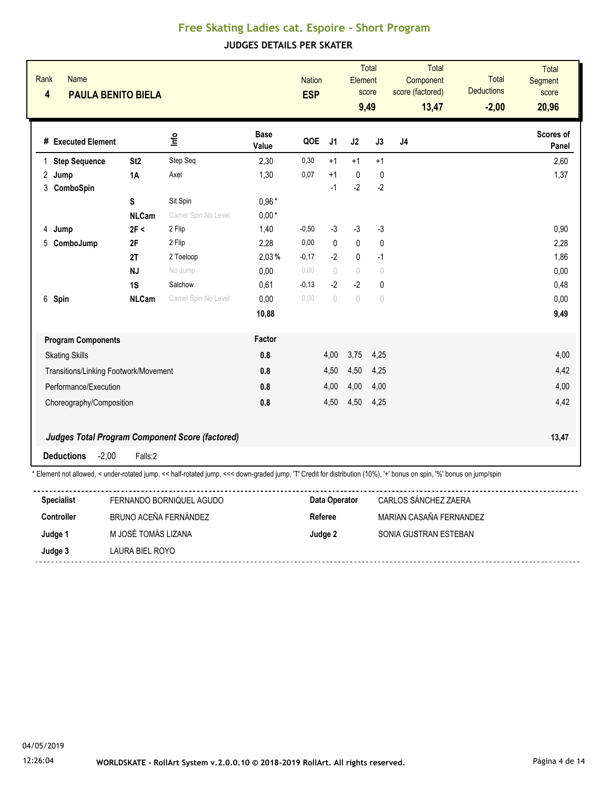| Rank<br>$\overline{\mathbf{4}}$ | Name                      | <b>PAULA BENITO BIELA</b>             |                                                                                                                                                                       |                      | <b>Nation</b><br><b>ESP</b> |                | Element                          | <b>Total</b><br>score<br>9,49    | Total<br>Component<br>score (factored)<br>13,47 | <b>Total</b><br><b>Deductions</b><br>$-2,00$ | <b>Total</b><br>Segment<br>score<br>20,96 |
|---------------------------------|---------------------------|---------------------------------------|-----------------------------------------------------------------------------------------------------------------------------------------------------------------------|----------------------|-----------------------------|----------------|----------------------------------|----------------------------------|-------------------------------------------------|----------------------------------------------|-------------------------------------------|
|                                 | # Executed Element        |                                       | ۵μ                                                                                                                                                                    | <b>Base</b><br>Value | QOE                         | J <sub>1</sub> | J2                               | J3                               | J <sub>4</sub>                                  |                                              | Scores of<br>Panel                        |
|                                 | 1 Step Sequence           | St <sub>2</sub>                       | Step Seq                                                                                                                                                              | 2,30                 | 0,30                        | $+1$           | $+1$                             | $+1$                             |                                                 |                                              | 2,60                                      |
|                                 | 2 Jump                    | <b>1A</b>                             | Axel                                                                                                                                                                  | 1,30                 | 0,07                        | $+1$           | 0                                | $\mathbf 0$                      |                                                 |                                              | 1,37                                      |
| 3                               | ComboSpin                 |                                       |                                                                                                                                                                       |                      |                             | $-1$           | $-2$                             | $-2$                             |                                                 |                                              |                                           |
|                                 |                           | S                                     | Sit Spin                                                                                                                                                              | $0,96*$              |                             |                |                                  |                                  |                                                 |                                              |                                           |
|                                 |                           | <b>NLCam</b>                          | Camel Spin No Level                                                                                                                                                   | $0,00*$              |                             |                |                                  |                                  |                                                 |                                              |                                           |
| 4                               | Jump                      | 2F <                                  | 2 Flip                                                                                                                                                                | 1,40                 | $-0,50$                     | $-3$           | $-3$                             | $-3$                             |                                                 |                                              | 0,90                                      |
|                                 | 5 ComboJump               | 2F                                    | 2 Flip                                                                                                                                                                | 2,28                 | 0,00                        | $\mathbf{0}$   | $\pmb{0}$                        | $\mathbf{0}$                     |                                                 |                                              | 2,28                                      |
|                                 |                           | 2T                                    | 2 Toeloop                                                                                                                                                             | 2,03%                | $-0,17$                     | $-2$           | $\mathbf 0$                      | $-1$                             |                                                 |                                              | 1,86                                      |
|                                 |                           | <b>NJ</b>                             | No Jump                                                                                                                                                               | 0,00                 | 0.00                        | $\bigcap$      | $\begin{array}{c} \n\end{array}$ | $\theta$                         |                                                 |                                              | 0,00                                      |
|                                 |                           | 1S                                    | Salchow                                                                                                                                                               | 0,61                 | $-0,13$                     | $-2$           | $-2$                             | $\mathbf 0$                      |                                                 |                                              | 0,48                                      |
|                                 | 6 Spin                    | <b>NLCam</b>                          | Camel Spin No Level                                                                                                                                                   | 0,00                 | 0,00                        | $\bigcap$      | $\bigcirc$                       | $\begin{array}{c} \n\end{array}$ |                                                 |                                              | 0,00                                      |
|                                 |                           |                                       |                                                                                                                                                                       | 10,88                |                             |                |                                  |                                  |                                                 |                                              | 9,49                                      |
|                                 | <b>Program Components</b> |                                       |                                                                                                                                                                       | Factor               |                             |                |                                  |                                  |                                                 |                                              |                                           |
|                                 | <b>Skating Skills</b>     |                                       |                                                                                                                                                                       | 0.8                  |                             | 4,00           | 3,75                             | 4,25                             |                                                 |                                              | 4,00                                      |
|                                 |                           | Transitions/Linking Footwork/Movement |                                                                                                                                                                       | 0.8                  |                             | 4,50           | 4,50                             | 4,25                             |                                                 |                                              | 4,42                                      |
|                                 | Performance/Execution     |                                       |                                                                                                                                                                       | 0.8                  |                             | 4,00           | 4,00                             | 4,00                             |                                                 |                                              | 4,00                                      |
|                                 | Choreography/Composition  |                                       |                                                                                                                                                                       | 0.8                  |                             | 4,50           | 4,50                             | 4,25                             |                                                 |                                              | 4,42                                      |
|                                 |                           |                                       | Judges Total Program Component Score (factored)                                                                                                                       |                      |                             |                |                                  |                                  |                                                 |                                              | 13,47                                     |
|                                 | <b>Deductions</b>         | $-2,00$<br>Falls:2                    |                                                                                                                                                                       |                      |                             |                |                                  |                                  |                                                 |                                              |                                           |
|                                 |                           |                                       | * Element not allowed, < under-rotated jump, << half-rotated jump, <<< down-graded jump, 'T' Credit for distribution (10%), '+' bonus on spin, '%' bonus on jump/spin |                      |                             |                |                                  |                                  |                                                 |                                              |                                           |
|                                 | <b>Specialist</b>         |                                       | FERNANDO BORNIQUEL AGUDO                                                                                                                                              |                      |                             | Data Operator  |                                  |                                  | CARLOS SÁNCHEZ ZAERA                            |                                              |                                           |
|                                 | $C$ ontrollor             | DOUNO ACEÑA FEDMÁNDEZ                 |                                                                                                                                                                       |                      |                             |                | $D = 5$                          |                                  | MADIAN CACAÑA FEDNIANDEZ                        |                                              |                                           |

| <b>ODGOIUIS</b>   | LI SI SA JEDO DON SI SODO OD OD | <b>DUM OPCIANI</b> | <b>UNILUU UNIVU ILL LALIVI</b> |
|-------------------|---------------------------------|--------------------|--------------------------------|
| <b>Controller</b> | BRUNO ACEÑA FERNÁNDEZ           | Referee            | MARIAN CASAÑA FERNANDEZ        |
| Judge 1           | M JOSÉ TOMÁS LIZANA             | Judge 2            | SONIA GUSTRAN ESTEBAN          |
| Judge 3           | LAURA BIEL ROYO                 |                    |                                |
|                   |                                 |                    |                                |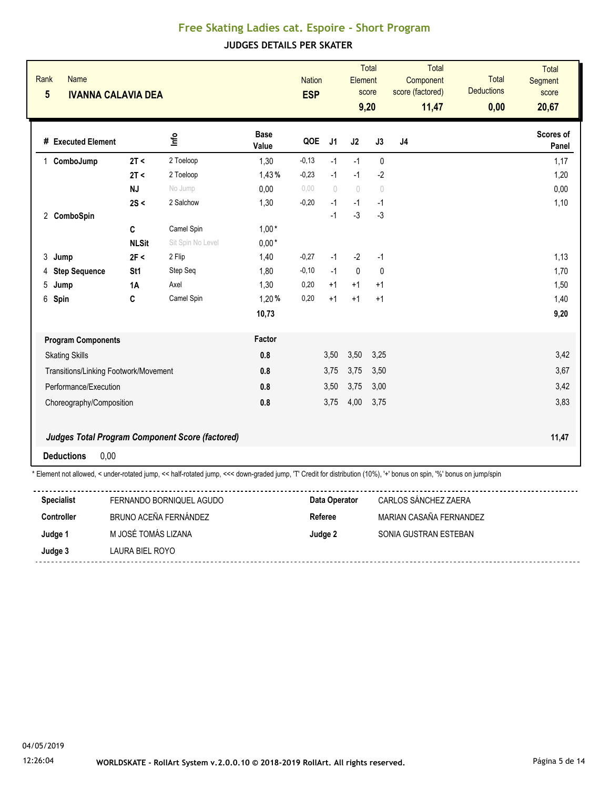| Rank<br>$5\phantom{a}$ | <b>Name</b><br><b>IVANNA CALAVIA DEA</b> |                 |                                                                                                                                                                       |                      | <b>Nation</b><br><b>ESP</b> |                | Element     | Total<br>score<br>9,20           | Total<br>Component<br>score (factored)<br>11,47 | Total<br><b>Deductions</b><br>0,00 | Total<br>Segment<br>score<br>20,67 |
|------------------------|------------------------------------------|-----------------|-----------------------------------------------------------------------------------------------------------------------------------------------------------------------|----------------------|-----------------------------|----------------|-------------|----------------------------------|-------------------------------------------------|------------------------------------|------------------------------------|
|                        | # Executed Element                       |                 | ۴ů                                                                                                                                                                    | <b>Base</b><br>Value | QOE                         | J <sub>1</sub> | J2          | J3                               | J4                                              |                                    | Scores of<br>Panel                 |
|                        | ComboJump                                | 2T <            | 2 Toeloop                                                                                                                                                             | 1,30                 | $-0,13$                     | $-1$           | $-1$        | $\mathbf{0}$                     |                                                 |                                    | 1,17                               |
|                        |                                          | 2T <            | 2 Toeloop                                                                                                                                                             | 1,43%                | $-0,23$                     | $-1$           | $-1$        | $-2$                             |                                                 |                                    | 1,20                               |
|                        |                                          | <b>NJ</b>       | No Jump                                                                                                                                                               | 0,00                 | 0,00                        | $\bigcap$      | $\bigcirc$  | $\begin{array}{c} \n\end{array}$ |                                                 |                                    | 0,00                               |
|                        |                                          | 2S <            | 2 Salchow                                                                                                                                                             | 1,30                 | $-0,20$                     | $-1$           | $-1$        | $-1$                             |                                                 |                                    | 1,10                               |
|                        | 2 ComboSpin                              |                 |                                                                                                                                                                       |                      |                             | $-1$           | $-3$        | $-3$                             |                                                 |                                    |                                    |
|                        |                                          | $\mathbf{C}$    | Camel Spin                                                                                                                                                            | $1,00*$              |                             |                |             |                                  |                                                 |                                    |                                    |
|                        |                                          | <b>NLSit</b>    | Sit Spin No Level                                                                                                                                                     | $0,00*$              |                             |                |             |                                  |                                                 |                                    |                                    |
| 3                      | Jump                                     | 2F <            | 2 Flip                                                                                                                                                                | 1,40                 | $-0,27$                     | $-1$           | $-2$        | $-1$                             |                                                 |                                    | 1,13                               |
| 4                      | <b>Step Sequence</b>                     | St <sub>1</sub> | Step Seq                                                                                                                                                              | 1,80                 | $-0,10$                     | $-1$           | $\mathbf 0$ | 0                                |                                                 |                                    | 1,70                               |
| 5                      | Jump                                     | <b>1A</b>       | Axel                                                                                                                                                                  | 1,30                 | 0,20                        | $+1$           | $+1$        | $+1$                             |                                                 |                                    | 1,50                               |
|                        | 6 Spin                                   | $\mathbf{C}$    | Camel Spin                                                                                                                                                            | 1,20%                | 0,20                        | $+1$           | $+1$        | $+1$                             |                                                 |                                    | 1,40                               |
|                        |                                          |                 |                                                                                                                                                                       | 10,73                |                             |                |             |                                  |                                                 |                                    | 9,20                               |
|                        | <b>Program Components</b>                |                 |                                                                                                                                                                       | Factor               |                             |                |             |                                  |                                                 |                                    |                                    |
|                        | <b>Skating Skills</b>                    |                 |                                                                                                                                                                       | 0.8                  |                             | 3,50           | 3,50        | 3,25                             |                                                 |                                    | 3,42                               |
|                        | Transitions/Linking Footwork/Movement    |                 |                                                                                                                                                                       | 0.8                  |                             | 3,75           | 3,75        | 3,50                             |                                                 |                                    | 3,67                               |
|                        | Performance/Execution                    |                 |                                                                                                                                                                       | 0.8                  |                             | 3,50           | 3,75        | 3,00                             |                                                 |                                    | 3,42                               |
|                        | Choreography/Composition                 |                 |                                                                                                                                                                       | 0.8                  |                             | 3,75           | 4,00        | 3,75                             |                                                 |                                    | 3,83                               |
|                        |                                          |                 | <b>Judges Total Program Component Score (factored)</b>                                                                                                                |                      |                             |                |             |                                  |                                                 |                                    | 11,47                              |
|                        | <b>Deductions</b><br>0,00                |                 |                                                                                                                                                                       |                      |                             |                |             |                                  |                                                 |                                    |                                    |
|                        |                                          |                 | * Element not allowed, < under-rotated jump, << half-rotated jump, <<< down-graded jump, 'T' Credit for distribution (10%), '+' bonus on spin, '%' bonus on jump/spin |                      |                             |                |             |                                  |                                                 |                                    |                                    |

| <b>Specialist</b> | FERNANDO BORNIQUEL AGUDO | Data Operator | CARLOS SANCHEZ ZAERA    |
|-------------------|--------------------------|---------------|-------------------------|
| <b>Controller</b> | BRUNO ACEÑA FERNÁNDEZ    | Referee       | MARIAN CASAÑA FERNANDEZ |
| Judge 1           | M JOSÉ TOMÁS LIZANA      | Judge 2       | SONIA GUSTRAN ESTEBAN   |
| Judge 3           | LAURA BIEL ROYO          |               |                         |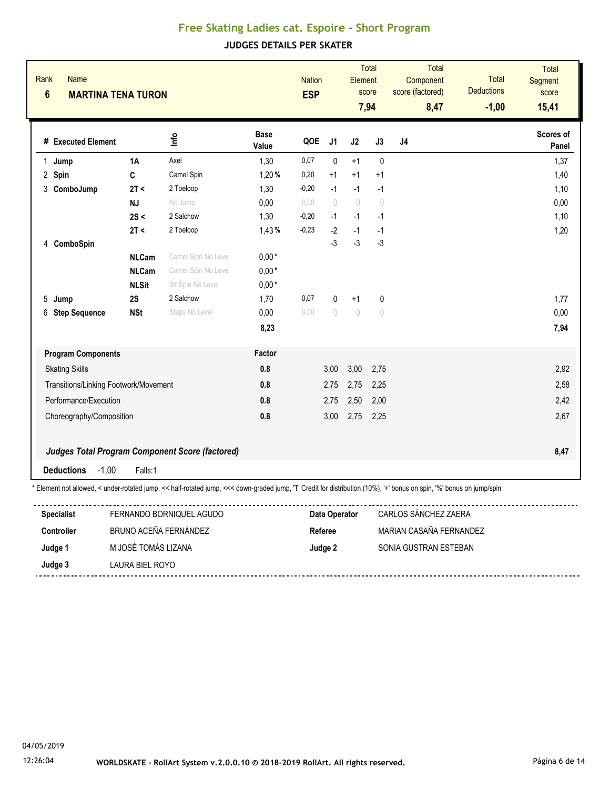| Rank<br>$6\phantom{1}$ | <b>Name</b>                           | <b>MARTINA TENA TURON</b> |                                                                                                                                                                                                   |                      | <b>Nation</b><br><b>ESP</b> |               | Element    | <b>Total</b><br>score<br>7,94    | Total<br>Component<br>score (factored)<br>8,47 | Total<br><b>Deductions</b><br>$-1,00$ | Total<br>Segment<br>score<br>15,41 |
|------------------------|---------------------------------------|---------------------------|---------------------------------------------------------------------------------------------------------------------------------------------------------------------------------------------------|----------------------|-----------------------------|---------------|------------|----------------------------------|------------------------------------------------|---------------------------------------|------------------------------------|
|                        | # Executed Element                    |                           | lnfo                                                                                                                                                                                              | <b>Base</b><br>Value | QOE                         | J1            | J2         | J3                               | J <sub>4</sub>                                 |                                       | Scores of<br>Panel                 |
|                        | 1 Jump                                | 1A                        | Axel                                                                                                                                                                                              | 1,30                 | 0,07                        | 0             | $+1$       | $\pmb{0}$                        |                                                |                                       | 1,37                               |
|                        | 2 Spin                                | C                         | Camel Spin                                                                                                                                                                                        | 1,20%                | 0,20                        | $+1$          | $+1$       | $+1$                             |                                                |                                       | 1,40                               |
|                        | 3 ComboJump                           | 2T <                      | 2 Toeloop                                                                                                                                                                                         | 1,30                 | $-0,20$                     | $-1$          | $-1$       | $-1$                             |                                                |                                       | 1,10                               |
|                        |                                       | <b>NJ</b>                 | No Jump                                                                                                                                                                                           | 0,00                 | 0,00                        | $\bigcap$     | $\bigcirc$ | $\bigcirc$                       |                                                |                                       | 0,00                               |
|                        |                                       | 2S <                      | 2 Salchow                                                                                                                                                                                         | 1,30                 | $-0,20$                     | $-1$          | $-1$       | $-1$                             |                                                |                                       | 1,10                               |
|                        |                                       | 2T <                      | 2 Toeloop                                                                                                                                                                                         | 1,43%                | $-0,23$                     | $-2$          | $-1$       | $-1$                             |                                                |                                       | 1,20                               |
|                        | 4 ComboSpin                           |                           |                                                                                                                                                                                                   |                      |                             | $-3$          | $-3$       | $-3$                             |                                                |                                       |                                    |
|                        |                                       | <b>NLCam</b>              | Camel Spin No Level                                                                                                                                                                               | $0,00*$              |                             |               |            |                                  |                                                |                                       |                                    |
|                        |                                       | <b>NLCam</b>              | Camel Spin No Level                                                                                                                                                                               | $0,00*$              |                             |               |            |                                  |                                                |                                       |                                    |
|                        |                                       | <b>NLSit</b>              | Sit Spin No Level                                                                                                                                                                                 | $0,00*$              |                             |               |            |                                  |                                                |                                       |                                    |
|                        | 5 Jump                                | 2S                        | 2 Salchow                                                                                                                                                                                         | 1,70                 | 0,07                        | 0             | $+1$       | $\mathbf 0$                      |                                                |                                       | 1,77                               |
|                        | 6 Step Sequence                       | <b>NSt</b>                | Steps No Level                                                                                                                                                                                    | 0.00                 | 0.00                        | $\bigcap$     | $\bigcirc$ | $\begin{array}{c} \n\end{array}$ |                                                |                                       | 0,00                               |
|                        |                                       |                           |                                                                                                                                                                                                   | 8,23                 |                             |               |            |                                  |                                                |                                       | 7,94                               |
|                        | <b>Program Components</b>             |                           |                                                                                                                                                                                                   | Factor               |                             |               |            |                                  |                                                |                                       |                                    |
|                        | <b>Skating Skills</b>                 |                           |                                                                                                                                                                                                   | 0.8                  |                             | 3,00          | 3,00       | 2,75                             |                                                |                                       | 2,92                               |
|                        | Transitions/Linking Footwork/Movement |                           |                                                                                                                                                                                                   | 0.8                  |                             | 2,75          | 2,75       | 2,25                             |                                                |                                       | 2,58                               |
|                        | Performance/Execution                 |                           |                                                                                                                                                                                                   | 0.8                  |                             | 2,75          | 2,50       | 2,00                             |                                                |                                       | 2,42                               |
|                        | Choreography/Composition              |                           |                                                                                                                                                                                                   | 0.8                  |                             | 3,00          | 2,75       | 2,25                             |                                                |                                       | 2,67                               |
|                        |                                       |                           | Judges Total Program Component Score (factored)                                                                                                                                                   |                      |                             |               |            |                                  |                                                |                                       | 8,47                               |
|                        | <b>Deductions</b><br>$-1,00$          | Falls:1                   |                                                                                                                                                                                                   |                      |                             |               |            |                                  |                                                |                                       |                                    |
|                        | <b>Specialist</b>                     |                           | * Element not allowed, < under-rotated jump, << half-rotated jump, <<< down-graded jump, 'T' Credit for distribution (10%), '+' bonus on spin, '%' bonus on jump/spin<br>FERNANDO BORNIQUEL AGUDO |                      |                             | Data Operator |            |                                  | CARLOS SÁNCHEZ ZAERA                           |                                       |                                    |

| <b>Specialist</b> | FERNANDO BORNIQUEL AGUDO | Data Operator | CARLOS SÁNCHEZ ZAERA    |
|-------------------|--------------------------|---------------|-------------------------|
| <b>Controller</b> | BRUNO ACEÑA FERNÁNDEZ    | Referee       | MARIAN CASAÑA FERNANDEZ |
| Judge 1           | M JOSÉ TOMÁS LIZANA      | Judge 2       | SONIA GUSTRAN ESTEBAN   |
| Judge 3           | LAURA BIEL ROYO          |               |                         |
|                   |                          |               |                         |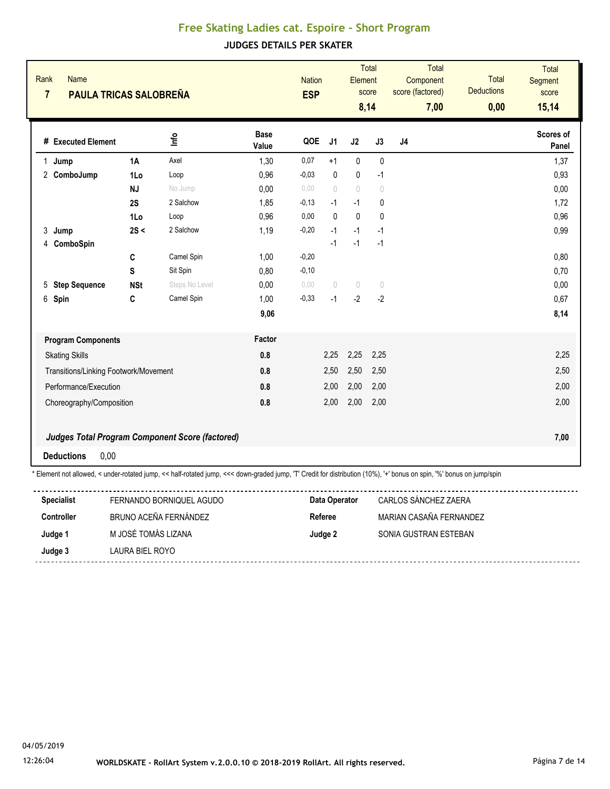| Rank<br>$\overline{7}$ | <b>Name</b>                           | <b>PAULA TRICAS SALOBREÑA</b> |                                                                                                                                                                                                   |                      | <b>Nation</b><br><b>ESP</b> |                | Element      | <b>Total</b><br>score<br>8,14    | <b>Total</b><br>Component<br>score (factored)<br>7,00 | <b>Total</b><br><b>Deductions</b><br>0,00 | <b>Total</b><br><b>Segment</b><br>score<br>15,14 |
|------------------------|---------------------------------------|-------------------------------|---------------------------------------------------------------------------------------------------------------------------------------------------------------------------------------------------|----------------------|-----------------------------|----------------|--------------|----------------------------------|-------------------------------------------------------|-------------------------------------------|--------------------------------------------------|
|                        | # Executed Element                    |                               | lnfo                                                                                                                                                                                              | <b>Base</b><br>Value | QOE                         | J <sub>1</sub> | J2           | J3                               | J <sub>4</sub>                                        |                                           | Scores of<br>Panel                               |
|                        | 1 Jump                                | <b>1A</b>                     | Axel                                                                                                                                                                                              | 1,30                 | 0,07                        | $+1$           | $\pmb{0}$    | $\pmb{0}$                        |                                                       |                                           | 1,37                                             |
|                        | 2 ComboJump                           | 1Lo                           | Loop                                                                                                                                                                                              | 0,96                 | $-0,03$                     | $\mathbf{0}$   | $\mathbf 0$  | $-1$                             |                                                       |                                           | 0,93                                             |
|                        |                                       | <b>NJ</b>                     | No Jump                                                                                                                                                                                           | 0,00                 | 0,00                        | $\bigcap$      | $\theta$     | $\theta$                         |                                                       |                                           | 0,00                                             |
|                        |                                       | 2S                            | 2 Salchow                                                                                                                                                                                         | 1,85                 | $-0,13$                     | $-1$           | $-1$         | 0                                |                                                       |                                           | 1,72                                             |
|                        |                                       | 1Lo                           | Loop                                                                                                                                                                                              | 0,96                 | 0,00                        | $\Omega$       | $\mathbf{0}$ | $\mathbf{0}$                     |                                                       |                                           | 0,96                                             |
|                        | 3 Jump                                | 2S <                          | 2 Salchow                                                                                                                                                                                         | 1,19                 | $-0,20$                     | $-1$           | $-1$         | $-1$                             |                                                       |                                           | 0,99                                             |
|                        | 4 ComboSpin                           |                               |                                                                                                                                                                                                   |                      |                             | $-1$           | $-1$         | $-1$                             |                                                       |                                           |                                                  |
|                        |                                       | C                             | Camel Spin                                                                                                                                                                                        | 1,00                 | $-0,20$                     |                |              |                                  |                                                       |                                           | 0,80                                             |
|                        |                                       | S                             | Sit Spin                                                                                                                                                                                          | 0,80                 | $-0,10$                     |                |              |                                  |                                                       |                                           | 0,70                                             |
|                        | 5 Step Sequence                       | <b>NSt</b>                    | Steps No Level                                                                                                                                                                                    | 0,00                 | 0.00                        | $\bigcirc$     | $\theta$     | $\begin{array}{c} \n\end{array}$ |                                                       |                                           | 0,00                                             |
|                        | 6 Spin                                | C                             | Camel Spin                                                                                                                                                                                        | 1,00                 | $-0,33$                     | $-1$           | $-2$         | $-2$                             |                                                       |                                           | 0,67                                             |
|                        |                                       |                               |                                                                                                                                                                                                   | 9,06                 |                             |                |              |                                  |                                                       |                                           | 8,14                                             |
|                        | <b>Program Components</b>             |                               |                                                                                                                                                                                                   | Factor               |                             |                |              |                                  |                                                       |                                           |                                                  |
|                        | <b>Skating Skills</b>                 |                               |                                                                                                                                                                                                   | 0.8                  |                             | 2,25           | 2,25         | 2,25                             |                                                       |                                           | 2,25                                             |
|                        | Transitions/Linking Footwork/Movement |                               |                                                                                                                                                                                                   | 0.8                  |                             | 2,50           | 2,50         | 2,50                             |                                                       |                                           | 2,50                                             |
|                        | Performance/Execution                 |                               |                                                                                                                                                                                                   | 0.8                  |                             | 2,00           | 2,00         | 2,00                             |                                                       |                                           | 2,00                                             |
|                        | Choreography/Composition              |                               |                                                                                                                                                                                                   | 0.8                  |                             | 2,00           | 2,00         | 2,00                             |                                                       |                                           | 2,00                                             |
|                        |                                       |                               | <b>Judges Total Program Component Score (factored)</b>                                                                                                                                            |                      |                             |                |              |                                  |                                                       |                                           | 7,00                                             |
|                        | <b>Deductions</b><br>0,00             |                               |                                                                                                                                                                                                   |                      |                             |                |              |                                  |                                                       |                                           |                                                  |
|                        | <b>Specialist</b>                     |                               | * Element not allowed, < under-rotated jump, << half-rotated jump, <<< down-graded jump, 'T' Credit for distribution (10%), '+' bonus on spin, '%' bonus on jump/spin<br>FERNANDO BORNIQUEL AGUDO |                      |                             | Data Operator  |              |                                  | CARLOS SÁNCHEZ ZAERA                                  |                                           |                                                  |

| <b>Specialist</b> | FERNANDO BORNIQUEL AGUDO | Data Operator | CARLOS SANCHEZ ZAERA    |
|-------------------|--------------------------|---------------|-------------------------|
| <b>Controller</b> | BRUNO ACEÑA FERNÁNDEZ    | Referee       | MARIAN CASAÑA FERNANDEZ |
| Judge 1           | M JOSÉ TOMÁS LIZANA      | Judge 2       | SONIA GUSTRAN ESTEBAN   |
| Judge 3           | LAURA BIEL ROYO          |               |                         |
|                   |                          |               |                         |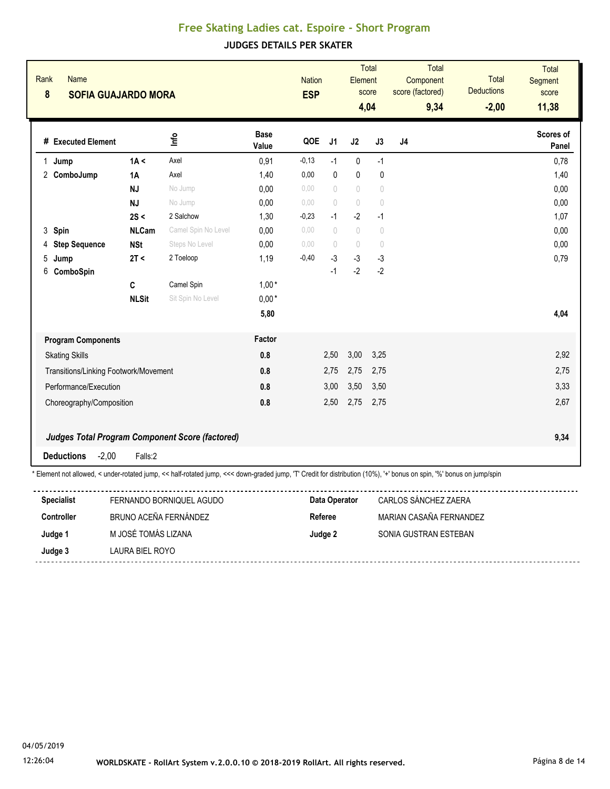| Rank<br>8 | Name<br><b>SOFIA GUAJARDO MORA</b>    |              |                                                                                                                                                                       |                      | <b>Nation</b><br><b>ESP</b> |                                  | Element                          | <b>Total</b><br>score<br>4,04    | Total<br>Component<br>score (factored)<br>9,34 | <b>Total</b><br><b>Deductions</b><br>$-2,00$ | <b>Total</b><br>Segment<br>score<br>11,38 |
|-----------|---------------------------------------|--------------|-----------------------------------------------------------------------------------------------------------------------------------------------------------------------|----------------------|-----------------------------|----------------------------------|----------------------------------|----------------------------------|------------------------------------------------|----------------------------------------------|-------------------------------------------|
|           | # Executed Element                    |              | lnfo                                                                                                                                                                  | <b>Base</b><br>Value | QOE                         | J1                               | J2                               | J3                               | J4                                             |                                              | Scores of<br>Panel                        |
|           | 1 Jump                                | 1A <         | Axel                                                                                                                                                                  | 0,91                 | $-0,13$                     | $-1$                             | $\mathbf 0$                      | $-1$                             |                                                |                                              | 0,78                                      |
|           | 2 ComboJump                           | 1A           | Axel                                                                                                                                                                  | 1,40                 | 0,00                        | $\mathbf{0}$                     | $\mathbf 0$                      | $\mathbf{0}$                     |                                                |                                              | 1,40                                      |
|           |                                       | NJ           | No Jump                                                                                                                                                               | 0,00                 | 0.00                        | $\begin{array}{c} \n\end{array}$ | $\bigcirc$                       | $\sqrt{ }$                       |                                                |                                              | 0,00                                      |
|           |                                       | <b>NJ</b>    | No Jump                                                                                                                                                               | 0,00                 | 0.00                        | $\bigcirc$                       | $\begin{array}{c} \n\end{array}$ | $\theta$                         |                                                |                                              | 0,00                                      |
|           |                                       | 2S <         | 2 Salchow                                                                                                                                                             | 1,30                 | $-0,23$                     | $-1$                             | $-2$                             | $-1$                             |                                                |                                              | 1,07                                      |
|           | 3 Spin                                | <b>NLCam</b> | Camel Spin No Level                                                                                                                                                   | 0,00                 | 0.00                        | $\begin{array}{c} \n\end{array}$ | $\begin{array}{c} \n\end{array}$ | $\begin{array}{c} \n\end{array}$ |                                                |                                              | 0,00                                      |
|           | 4 Step Sequence                       | <b>NSt</b>   | Steps No Level                                                                                                                                                        | 0,00                 | 0.00                        | $\bigcap$                        | $\begin{array}{c} \n\end{array}$ | $\begin{array}{c} \n\end{array}$ |                                                |                                              | 0,00                                      |
| 5         | Jump                                  | 2T <         | 2 Toeloop                                                                                                                                                             | 1,19                 | $-0,40$                     | $-3$                             | $-3$                             | $-3$                             |                                                |                                              | 0,79                                      |
| 6         | ComboSpin                             |              |                                                                                                                                                                       |                      |                             | $-1$                             | $-2$                             | $-2$                             |                                                |                                              |                                           |
|           |                                       | C            | Camel Spin                                                                                                                                                            | $1,00*$              |                             |                                  |                                  |                                  |                                                |                                              |                                           |
|           |                                       | <b>NLSit</b> | Sit Spin No Level                                                                                                                                                     | $0,00*$              |                             |                                  |                                  |                                  |                                                |                                              |                                           |
|           |                                       |              |                                                                                                                                                                       | 5,80                 |                             |                                  |                                  |                                  |                                                |                                              | 4,04                                      |
|           | <b>Program Components</b>             |              |                                                                                                                                                                       | Factor               |                             |                                  |                                  |                                  |                                                |                                              |                                           |
|           | <b>Skating Skills</b>                 |              |                                                                                                                                                                       | 0.8                  |                             | 2,50                             | 3,00                             | 3,25                             |                                                |                                              | 2,92                                      |
|           | Transitions/Linking Footwork/Movement |              |                                                                                                                                                                       | 0.8                  |                             | 2,75                             | 2,75                             | 2,75                             |                                                |                                              | 2,75                                      |
|           | Performance/Execution                 |              |                                                                                                                                                                       | 0.8                  |                             | 3,00                             | 3,50                             | 3,50                             |                                                |                                              | 3,33                                      |
|           | Choreography/Composition              |              |                                                                                                                                                                       | 0.8                  |                             | 2,50                             | 2,75                             | 2,75                             |                                                |                                              | 2,67                                      |
|           |                                       |              |                                                                                                                                                                       |                      |                             |                                  |                                  |                                  |                                                |                                              |                                           |
|           |                                       |              | <b>Judges Total Program Component Score (factored)</b>                                                                                                                |                      |                             |                                  |                                  |                                  |                                                |                                              | 9,34                                      |
|           | <b>Deductions</b><br>$-2,00$          | Falls:2      |                                                                                                                                                                       |                      |                             |                                  |                                  |                                  |                                                |                                              |                                           |
|           |                                       |              | * Element not allowed, < under-rotated jump, << half-rotated jump, <<< down-graded jump, 'T' Credit for distribution (10%), '+' bonus on spin, '%' bonus on jump/spin |                      |                             |                                  |                                  |                                  |                                                |                                              |                                           |
|           | <b>Specialist</b>                     |              | FERNANDO BORNIQUEL AGUDO                                                                                                                                              |                      |                             | Data Operator                    |                                  |                                  | CARLOS SÁNCHEZ ZAERA                           |                                              |                                           |
|           | $C$ antuallan                         |              | DOUNA ACEÑA FEDMÁNDEZ                                                                                                                                                 |                      |                             |                                  | $D = 4 \times 10^{-10}$          |                                  | MADIAN CACAÑA FEDMANDEZ                        |                                              |                                           |

| Controller | BRUNO ACEÑA FERNÁNDEZ | Referee | MARIAN CASAÑA FERNANDEZ |
|------------|-----------------------|---------|-------------------------|
| Judge 1    | M JOSÉ TOMÁS LIZANA   | Judge 2 | SONIA GUSTRAN ESTEBAN   |
| Judge 3    | LAURA BIEL ROYO       |         |                         |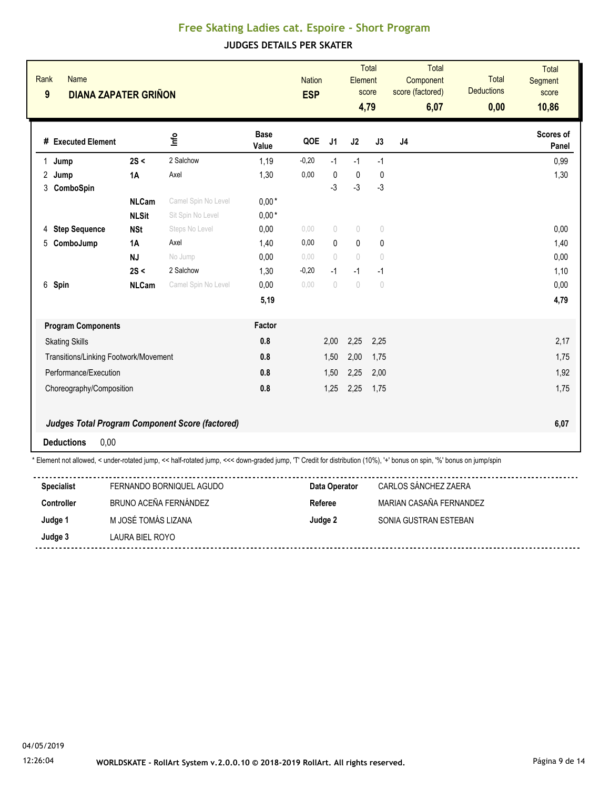| Rank<br>9    | <b>Name</b><br><b>DIANA ZAPATER GRIÑON</b> |              |                                                                                                                                                                       |                      | <b>Nation</b><br><b>ESP</b> |                                  | Element                          | <b>Total</b><br>score<br>4,79    | Total<br>Component<br>score (factored)<br>6,07 | Total<br><b>Deductions</b><br>0,00 | <b>Total</b><br>Segment<br>score<br>10,86 |
|--------------|--------------------------------------------|--------------|-----------------------------------------------------------------------------------------------------------------------------------------------------------------------|----------------------|-----------------------------|----------------------------------|----------------------------------|----------------------------------|------------------------------------------------|------------------------------------|-------------------------------------------|
|              | # Executed Element                         |              | ۴u                                                                                                                                                                    | <b>Base</b><br>Value | QOE                         | J <sub>1</sub>                   | J2                               | J3                               | J <sub>4</sub>                                 |                                    | Scores of<br>Panel                        |
| $\mathbf{1}$ | Jump                                       | 2S <         | 2 Salchow                                                                                                                                                             | 1,19                 | $-0,20$                     | $-1$                             | $-1$                             | $-1$                             |                                                |                                    | 0,99                                      |
|              | 2 Jump                                     | 1A           | Axel                                                                                                                                                                  | 1,30                 | 0,00                        | $\mathbf{0}$                     | $\mathbf 0$                      | 0                                |                                                |                                    | 1,30                                      |
|              | 3 ComboSpin                                |              |                                                                                                                                                                       |                      |                             | -3                               | $-3$                             | $-3$                             |                                                |                                    |                                           |
|              |                                            | <b>NLCam</b> | Camel Spin No Level                                                                                                                                                   | $0,00*$              |                             |                                  |                                  |                                  |                                                |                                    |                                           |
|              |                                            | <b>NLSit</b> | Sit Spin No Level                                                                                                                                                     | $0,00*$              |                             |                                  |                                  |                                  |                                                |                                    |                                           |
|              | 4 Step Sequence                            | <b>NSt</b>   | Steps No Level                                                                                                                                                        | 0,00                 | 0,00                        | $\circ$                          | $\begin{array}{c} \n\end{array}$ | $\begin{array}{c} \n\end{array}$ |                                                |                                    | 0,00                                      |
| 5            | ComboJump                                  | 1A           | Axel                                                                                                                                                                  | 1,40                 | 0,00                        | $\mathbf{0}$                     | $\pmb{0}$                        | $\pmb{0}$                        |                                                |                                    | 1,40                                      |
|              |                                            | <b>NJ</b>    | No Jump                                                                                                                                                               | 0,00                 | 0.00                        | $\bigcirc$                       | $\begin{array}{c} \n\end{array}$ | $\theta$                         |                                                |                                    | 0,00                                      |
|              |                                            | 2S <         | 2 Salchow                                                                                                                                                             | 1,30                 | $-0,20$                     | $-1$                             | $-1$                             | $-1$                             |                                                |                                    | 1,10                                      |
|              | 6 Spin                                     | <b>NLCam</b> | Camel Spin No Level                                                                                                                                                   | 0,00                 | 0,00                        | $\begin{array}{c} \n\end{array}$ | $\begin{array}{c} \n\end{array}$ | $\begin{array}{c} \n\end{array}$ |                                                |                                    | 0,00                                      |
|              |                                            |              |                                                                                                                                                                       | 5,19                 |                             |                                  |                                  |                                  |                                                |                                    | 4,79                                      |
|              | <b>Program Components</b>                  |              |                                                                                                                                                                       | Factor               |                             |                                  |                                  |                                  |                                                |                                    |                                           |
|              | <b>Skating Skills</b>                      |              |                                                                                                                                                                       | 0.8                  |                             | 2,00                             | 2,25                             | 2,25                             |                                                |                                    | 2,17                                      |
|              | Transitions/Linking Footwork/Movement      |              |                                                                                                                                                                       | 0.8                  |                             | 1,50                             | 2,00                             | 1,75                             |                                                |                                    | 1,75                                      |
|              | Performance/Execution                      |              |                                                                                                                                                                       | 0.8                  |                             | 1,50                             | 2,25                             | 2,00                             |                                                |                                    | 1,92                                      |
|              | Choreography/Composition                   |              |                                                                                                                                                                       | 0.8                  |                             | 1,25                             | 2,25                             | 1,75                             |                                                |                                    | 1,75                                      |
|              |                                            |              | <b>Judges Total Program Component Score (factored)</b>                                                                                                                |                      |                             |                                  |                                  |                                  |                                                |                                    | 6,07                                      |
|              | <b>Deductions</b><br>0,00                  |              |                                                                                                                                                                       |                      |                             |                                  |                                  |                                  |                                                |                                    |                                           |
|              |                                            |              | * Element not allowed, < under-rotated jump, << half-rotated jump, <<< down-graded jump, 'T' Credit for distribution (10%), '+' bonus on spin, '%' bonus on jump/spin |                      |                             |                                  |                                  |                                  |                                                |                                    |                                           |

| <b>Specialist</b> | FERNANDO BORNIQUEL AGUDO | Data Operator | CARLOS SANCHEZ ZAERA    |
|-------------------|--------------------------|---------------|-------------------------|
| <b>Controller</b> | BRUNO ACEÑA FERNÁNDEZ    | Referee       | MARIAN CASAÑA FERNANDEZ |
| Judge 1           | M JOSÉ TOMÁS LIZANA      | Judge 2       | SONIA GUSTRAN ESTEBAN   |
| Judge 3           | LAURA BIEL ROYO          |               |                         |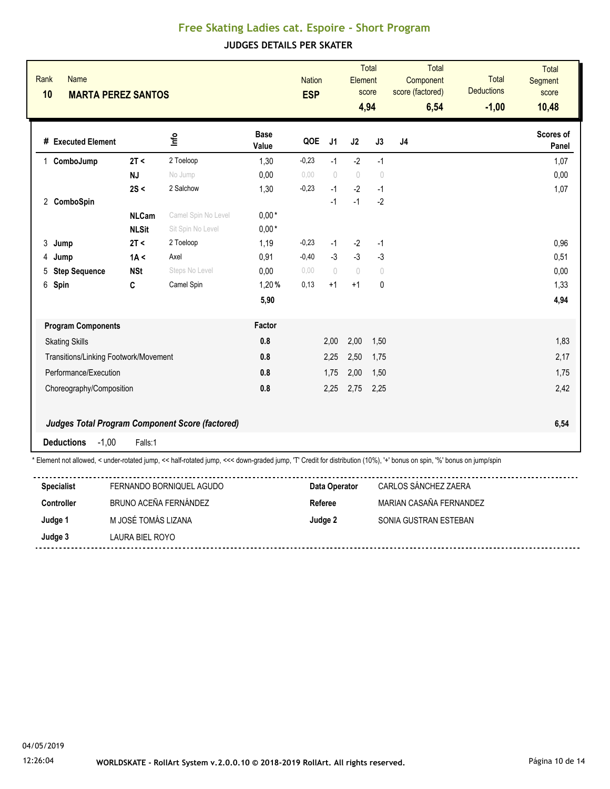| <b>Base</b><br>Scores of<br>۴u<br># Executed Element<br>QOE<br>J <sub>1</sub><br>J2<br>J3<br>J <sub>4</sub><br>Value<br>Panel<br>$-2$<br>$-1$<br>2T <<br>1,30<br>$-0,23$<br>$-1$<br>1,07<br>2 Toeloop<br>ComboJump<br>1.<br>$\begin{array}{c} \n\end{array}$<br><b>NJ</b><br>No Jump<br>0,00<br>0.00<br>0,00<br>$\bigcap$<br>$\bigcap$<br>$-2$<br>2 Salchow<br>$-0,23$<br>$-1$<br>1,07<br>2S <<br>1,30<br>$-1$<br>$-1$<br>$-2$<br>$-1$<br>2 ComboSpin<br><b>NLCam</b><br>Camel Spin No Level<br>$0,00*$<br>$0,00*$<br><b>NLSit</b><br>Sit Spin No Level<br>$-2$<br>0,96<br>2T <<br>2 Toeloop<br>1,19<br>$-0,23$<br>$-1$<br>$-1$<br>3<br>Jump<br>$-3$<br>1A <<br>Axel<br>0,91<br>$-0,40$<br>$-3$<br>$-3$<br>0,51<br>4 Jump<br>0,00<br>Steps No Level<br>0,00<br>0,00<br>$\bigcirc$<br>$\begin{array}{c} \n\end{array}$<br>5 Step Sequence<br><b>NSt</b><br>$\bigcap$<br>Camel Spin<br>1,20%<br>0,13<br>$\mathbf 0$<br>1,33<br>6 Spin<br>C<br>$+1$<br>$+1$<br>4,94<br>5,90<br>Factor<br><b>Program Components</b><br>0.8<br>2,00<br>2,00<br>1,50<br>1,83<br><b>Skating Skills</b><br>0.8<br>2,17<br>Transitions/Linking Footwork/Movement<br>2,25<br>2,50<br>1,75<br>0.8<br>2,00<br>1,75<br>Performance/Execution<br>1,75<br>1,50<br>0.8<br>2,42<br>2,25<br>2,75<br>2,25<br>Choreography/Composition<br><b>Judges Total Program Component Score (factored)</b><br>6,54 | Rank<br><b>Name</b><br>10<br><b>MARTA PEREZ SANTOS</b> |         |  | <b>Nation</b><br><b>ESP</b> | Element | <b>Total</b><br>score<br>4,94 | <b>Total</b><br>Component<br>score (factored)<br>6,54 | <b>Total</b><br><b>Deductions</b><br>$-1,00$ | <b>Total</b><br>Segment<br>score<br>10,48 |
|----------------------------------------------------------------------------------------------------------------------------------------------------------------------------------------------------------------------------------------------------------------------------------------------------------------------------------------------------------------------------------------------------------------------------------------------------------------------------------------------------------------------------------------------------------------------------------------------------------------------------------------------------------------------------------------------------------------------------------------------------------------------------------------------------------------------------------------------------------------------------------------------------------------------------------------------------------------------------------------------------------------------------------------------------------------------------------------------------------------------------------------------------------------------------------------------------------------------------------------------------------------------------------------------------------------------------------------------------------------------|--------------------------------------------------------|---------|--|-----------------------------|---------|-------------------------------|-------------------------------------------------------|----------------------------------------------|-------------------------------------------|
|                                                                                                                                                                                                                                                                                                                                                                                                                                                                                                                                                                                                                                                                                                                                                                                                                                                                                                                                                                                                                                                                                                                                                                                                                                                                                                                                                                      |                                                        |         |  |                             |         |                               |                                                       |                                              |                                           |
|                                                                                                                                                                                                                                                                                                                                                                                                                                                                                                                                                                                                                                                                                                                                                                                                                                                                                                                                                                                                                                                                                                                                                                                                                                                                                                                                                                      |                                                        |         |  |                             |         |                               |                                                       |                                              |                                           |
|                                                                                                                                                                                                                                                                                                                                                                                                                                                                                                                                                                                                                                                                                                                                                                                                                                                                                                                                                                                                                                                                                                                                                                                                                                                                                                                                                                      |                                                        |         |  |                             |         |                               |                                                       |                                              |                                           |
|                                                                                                                                                                                                                                                                                                                                                                                                                                                                                                                                                                                                                                                                                                                                                                                                                                                                                                                                                                                                                                                                                                                                                                                                                                                                                                                                                                      |                                                        |         |  |                             |         |                               |                                                       |                                              |                                           |
|                                                                                                                                                                                                                                                                                                                                                                                                                                                                                                                                                                                                                                                                                                                                                                                                                                                                                                                                                                                                                                                                                                                                                                                                                                                                                                                                                                      |                                                        |         |  |                             |         |                               |                                                       |                                              |                                           |
|                                                                                                                                                                                                                                                                                                                                                                                                                                                                                                                                                                                                                                                                                                                                                                                                                                                                                                                                                                                                                                                                                                                                                                                                                                                                                                                                                                      |                                                        |         |  |                             |         |                               |                                                       |                                              |                                           |
|                                                                                                                                                                                                                                                                                                                                                                                                                                                                                                                                                                                                                                                                                                                                                                                                                                                                                                                                                                                                                                                                                                                                                                                                                                                                                                                                                                      |                                                        |         |  |                             |         |                               |                                                       |                                              |                                           |
|                                                                                                                                                                                                                                                                                                                                                                                                                                                                                                                                                                                                                                                                                                                                                                                                                                                                                                                                                                                                                                                                                                                                                                                                                                                                                                                                                                      |                                                        |         |  |                             |         |                               |                                                       |                                              |                                           |
|                                                                                                                                                                                                                                                                                                                                                                                                                                                                                                                                                                                                                                                                                                                                                                                                                                                                                                                                                                                                                                                                                                                                                                                                                                                                                                                                                                      |                                                        |         |  |                             |         |                               |                                                       |                                              |                                           |
|                                                                                                                                                                                                                                                                                                                                                                                                                                                                                                                                                                                                                                                                                                                                                                                                                                                                                                                                                                                                                                                                                                                                                                                                                                                                                                                                                                      |                                                        |         |  |                             |         |                               |                                                       |                                              |                                           |
|                                                                                                                                                                                                                                                                                                                                                                                                                                                                                                                                                                                                                                                                                                                                                                                                                                                                                                                                                                                                                                                                                                                                                                                                                                                                                                                                                                      |                                                        |         |  |                             |         |                               |                                                       |                                              |                                           |
|                                                                                                                                                                                                                                                                                                                                                                                                                                                                                                                                                                                                                                                                                                                                                                                                                                                                                                                                                                                                                                                                                                                                                                                                                                                                                                                                                                      |                                                        |         |  |                             |         |                               |                                                       |                                              |                                           |
|                                                                                                                                                                                                                                                                                                                                                                                                                                                                                                                                                                                                                                                                                                                                                                                                                                                                                                                                                                                                                                                                                                                                                                                                                                                                                                                                                                      |                                                        |         |  |                             |         |                               |                                                       |                                              |                                           |
|                                                                                                                                                                                                                                                                                                                                                                                                                                                                                                                                                                                                                                                                                                                                                                                                                                                                                                                                                                                                                                                                                                                                                                                                                                                                                                                                                                      |                                                        |         |  |                             |         |                               |                                                       |                                              |                                           |
|                                                                                                                                                                                                                                                                                                                                                                                                                                                                                                                                                                                                                                                                                                                                                                                                                                                                                                                                                                                                                                                                                                                                                                                                                                                                                                                                                                      |                                                        |         |  |                             |         |                               |                                                       |                                              |                                           |
|                                                                                                                                                                                                                                                                                                                                                                                                                                                                                                                                                                                                                                                                                                                                                                                                                                                                                                                                                                                                                                                                                                                                                                                                                                                                                                                                                                      |                                                        |         |  |                             |         |                               |                                                       |                                              |                                           |
|                                                                                                                                                                                                                                                                                                                                                                                                                                                                                                                                                                                                                                                                                                                                                                                                                                                                                                                                                                                                                                                                                                                                                                                                                                                                                                                                                                      |                                                        |         |  |                             |         |                               |                                                       |                                              |                                           |
|                                                                                                                                                                                                                                                                                                                                                                                                                                                                                                                                                                                                                                                                                                                                                                                                                                                                                                                                                                                                                                                                                                                                                                                                                                                                                                                                                                      |                                                        |         |  |                             |         |                               |                                                       |                                              |                                           |
|                                                                                                                                                                                                                                                                                                                                                                                                                                                                                                                                                                                                                                                                                                                                                                                                                                                                                                                                                                                                                                                                                                                                                                                                                                                                                                                                                                      | <b>Deductions</b><br>$-1,00$                           | Falls:1 |  |                             |         |                               |                                                       |                                              |                                           |

| <b>Specialist</b> | FERNANDO BORNIQUEL AGUDO | Data Operator | CARLOS SÁNCHEZ ZAERA    |
|-------------------|--------------------------|---------------|-------------------------|
| <b>Controller</b> | BRUNO ACEÑA FERNÁNDEZ    | Referee       | MARIAN CASAÑA FFRNANDFZ |
| Judge 1           | M JOSÉ TOMÁS I IZANA     | Judge 2       | SONIA GUSTRAN ESTEBAN   |
| Judge 3           | LAURA BIEL ROYO          |               |                         |
|                   |                          |               |                         |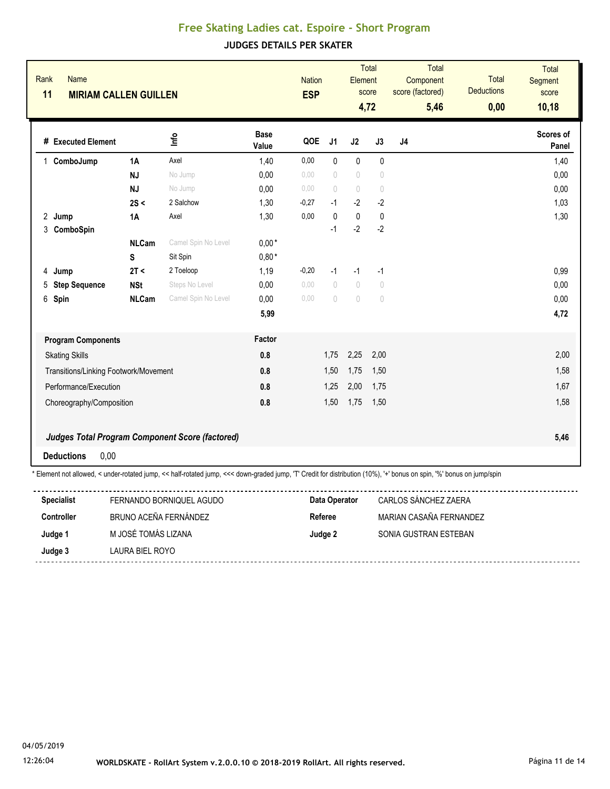| Rank<br><b>Name</b><br>11<br><b>MIRIAM CALLEN GUILLEN</b> |                            |                                                        |                      | <b>Nation</b><br><b>ESP</b> |                                          | Element                                        | <b>Total</b><br>score<br>4,72                                        | Total<br>Component<br>score (factored)<br>5,46 | Total<br><b>Deductions</b><br>0,00 | <b>Total</b><br>Segment<br>score<br>10,18 |
|-----------------------------------------------------------|----------------------------|--------------------------------------------------------|----------------------|-----------------------------|------------------------------------------|------------------------------------------------|----------------------------------------------------------------------|------------------------------------------------|------------------------------------|-------------------------------------------|
| # Executed Element                                        |                            | ۵                                                      | <b>Base</b><br>Value | QOE                         | J <sub>1</sub>                           | J2                                             | J3                                                                   | J <sub>4</sub>                                 |                                    | Scores of<br>Panel                        |
| 1 ComboJump                                               | <b>1A</b>                  | Axel                                                   | 1,40                 | 0,00                        | $\mathbf{0}$                             | $\mathbf{0}$                                   | $\mathbf{0}$                                                         |                                                |                                    | 1,40                                      |
|                                                           | <b>NJ</b>                  | No Jump                                                | 0,00                 | 0.00                        | $\bigcirc$                               | $\begin{array}{c} \n\end{array}$               | $\begin{array}{c} \n\end{array}$                                     |                                                |                                    | 0,00                                      |
|                                                           | <b>NJ</b>                  | No Jump                                                | 0,00                 | 0,00                        | $\bigcirc$                               | $\begin{array}{c} \n\end{array}$               | $\bigcirc$                                                           |                                                |                                    | 0,00                                      |
|                                                           | 2S <                       | 2 Salchow                                              | 1,30                 | $-0,27$                     | $-1$                                     | $-2$                                           | $-2$                                                                 |                                                |                                    | 1,03                                      |
| 2 Jump                                                    | 1A                         | Axel                                                   | 1,30                 | 0,00                        | $\mathbf{0}$                             | $\pmb{0}$                                      | $\pmb{0}$                                                            |                                                |                                    | 1,30                                      |
| 3 ComboSpin                                               |                            |                                                        |                      |                             | $-1$                                     | $-2$                                           | $-2$                                                                 |                                                |                                    |                                           |
|                                                           | <b>NLCam</b>               | Camel Spin No Level                                    | $0,00*$              |                             |                                          |                                                |                                                                      |                                                |                                    |                                           |
|                                                           | S                          | Sit Spin                                               | $0.80*$              |                             |                                          |                                                |                                                                      |                                                |                                    |                                           |
| Jump<br>4                                                 | 2T <                       | 2 Toeloop                                              | 1,19                 | $-0,20$                     | $-1$<br>$\begin{array}{c} \n\end{array}$ | $-1$                                           | $-1$                                                                 |                                                |                                    | 0,99                                      |
| 5 Step Sequence<br>6 Spin                                 | <b>NSt</b><br><b>NLCam</b> | Steps No Level<br>Camel Spin No Level                  | 0,00<br>0,00         | 0,00<br>0.00                | $\begin{array}{c} \n\end{array}$         | $\bigcirc$<br>$\begin{array}{c} \n\end{array}$ | $\begin{array}{c} \n\end{array}$<br>$\begin{array}{c} \n\end{array}$ |                                                |                                    | 0,00<br>0,00                              |
|                                                           |                            |                                                        | 5,99                 |                             |                                          |                                                |                                                                      |                                                |                                    | 4,72                                      |
| <b>Program Components</b>                                 |                            |                                                        | Factor               |                             |                                          |                                                |                                                                      |                                                |                                    |                                           |
| <b>Skating Skills</b>                                     |                            |                                                        | 0.8                  |                             | 1,75                                     | 2,25                                           | 2,00                                                                 |                                                |                                    | 2,00                                      |
| Transitions/Linking Footwork/Movement                     |                            |                                                        | 0.8                  |                             | 1,50                                     | 1,75                                           | 1,50                                                                 |                                                |                                    | 1,58                                      |
| Performance/Execution                                     |                            |                                                        | 0.8                  |                             | 1,25                                     | 2,00                                           | 1,75                                                                 |                                                |                                    | 1,67                                      |
| Choreography/Composition                                  |                            |                                                        | 0.8                  |                             | 1,50                                     | 1,75                                           | 1,50                                                                 |                                                |                                    | 1,58                                      |
|                                                           |                            | <b>Judges Total Program Component Score (factored)</b> |                      |                             |                                          |                                                |                                                                      |                                                |                                    | 5,46                                      |
| 0,00<br><b>Deductions</b>                                 |                            |                                                        |                      |                             |                                          |                                                |                                                                      |                                                |                                    |                                           |

| <b>Specialist</b> | FERNANDO BORNIQUEL AGUDO | Data Operator | CARLOS SÁNCHEZ ZAERA    |
|-------------------|--------------------------|---------------|-------------------------|
| Controller        | BRUNO ACEÑA FERNÁNDEZ    | Referee       | MARIAN CASAÑA FERNANDEZ |
| Judge 1           | M JOSÉ TOMÁS LIZANA      | Judge 2       | SONIA GUSTRAN ESTEBAN   |
| Judge 3           | LAURA BIEL ROYO          |               |                         |
|                   |                          |               |                         |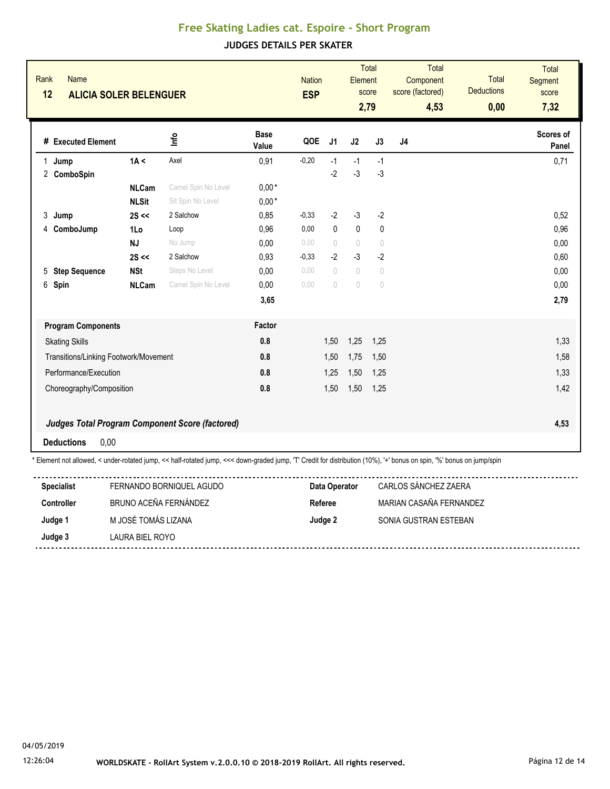| Rank<br>12 | <b>Name</b><br><b>ALICIA SOLER BELENGUER</b> |              |                                                                                                                                                                       |                      | <b>Nation</b><br><b>ESP</b> |                                  | Element                          | <b>Total</b><br>score<br>2,79    | <b>Total</b><br>Component<br>score (factored)<br>4,53 | <b>Total</b><br><b>Deductions</b><br>0,00 | <b>Total</b><br><b>Segment</b><br>score<br>7,32 |
|------------|----------------------------------------------|--------------|-----------------------------------------------------------------------------------------------------------------------------------------------------------------------|----------------------|-----------------------------|----------------------------------|----------------------------------|----------------------------------|-------------------------------------------------------|-------------------------------------------|-------------------------------------------------|
|            | # Executed Element                           |              | 울                                                                                                                                                                     | <b>Base</b><br>Value | QOE                         | J <sub>1</sub>                   | J2                               | J3                               | J4                                                    |                                           | <b>Scores of</b><br>Panel                       |
| 1          | Jump                                         | 1A <         | Axel                                                                                                                                                                  | 0,91                 | $-0,20$                     | $-1$                             | $-1$                             | $-1$                             |                                                       |                                           | 0,71                                            |
|            | 2 ComboSpin                                  |              |                                                                                                                                                                       |                      |                             | $-2$                             | $-3$                             | $-3$                             |                                                       |                                           |                                                 |
|            |                                              | <b>NLCam</b> | Camel Spin No Level                                                                                                                                                   | $0,00*$              |                             |                                  |                                  |                                  |                                                       |                                           |                                                 |
|            |                                              | <b>NLSit</b> | Sit Spin No Level                                                                                                                                                     | $0,00*$              |                             |                                  |                                  |                                  |                                                       |                                           |                                                 |
| 3          | Jump                                         | $2S \ll$     | 2 Salchow                                                                                                                                                             | 0,85                 | $-0,33$                     | $-2$                             | $-3$                             | $-2$                             |                                                       |                                           | 0,52                                            |
| 4          | ComboJump                                    | 1Lo          | Loop                                                                                                                                                                  | 0,96                 | 0,00                        | $\mathbf{0}$                     | $\pmb{0}$                        | 0                                |                                                       |                                           | 0,96                                            |
|            |                                              | <b>NJ</b>    | No Jump                                                                                                                                                               | 0,00                 | 0,00                        | $\begin{array}{c} \n\end{array}$ | $\sqrt{ }$                       | $\sqrt{ }$                       |                                                       |                                           | 0,00                                            |
|            |                                              | $2S \ll$     | 2 Salchow                                                                                                                                                             | 0,93                 | $-0,33$                     | $-2$                             | $-3$                             | $-2$                             |                                                       |                                           | 0,60                                            |
| 5          | <b>Step Sequence</b>                         | <b>NSt</b>   | Steps No Level                                                                                                                                                        | 0,00                 | 0.00                        | $\begin{array}{c} \n\end{array}$ | $\sqrt{ }$                       | $\sqrt{ }$                       |                                                       |                                           | 0,00                                            |
| 6          | Spin                                         | <b>NLCam</b> | Camel Spin No Level                                                                                                                                                   | 0,00                 | 0,00                        | $\circ$                          | $\begin{array}{c} \n\end{array}$ | $\begin{array}{c} \n\end{array}$ |                                                       |                                           | 0,00                                            |
|            |                                              |              |                                                                                                                                                                       | 3,65                 |                             |                                  |                                  |                                  |                                                       |                                           | 2,79                                            |
|            | <b>Program Components</b>                    |              |                                                                                                                                                                       | Factor               |                             |                                  |                                  |                                  |                                                       |                                           |                                                 |
|            | <b>Skating Skills</b>                        |              |                                                                                                                                                                       | 0.8                  |                             | 1,50                             | 1,25                             | 1,25                             |                                                       |                                           | 1,33                                            |
|            | Transitions/Linking Footwork/Movement        |              |                                                                                                                                                                       | 0.8                  |                             | 1,50                             | 1,75                             | 1,50                             |                                                       |                                           | 1,58                                            |
|            | Performance/Execution                        |              |                                                                                                                                                                       | 0.8                  |                             | 1,25                             | 1,50                             | 1,25                             |                                                       |                                           | 1,33                                            |
|            | Choreography/Composition                     |              |                                                                                                                                                                       | 0.8                  |                             | 1,50                             | 1,50                             | 1,25                             |                                                       |                                           | 1,42                                            |
|            |                                              |              | <b>Judges Total Program Component Score (factored)</b>                                                                                                                |                      |                             |                                  |                                  |                                  |                                                       |                                           | 4,53                                            |
|            | 0,00<br><b>Deductions</b>                    |              |                                                                                                                                                                       |                      |                             |                                  |                                  |                                  |                                                       |                                           |                                                 |
|            |                                              |              | * Element not allowed, < under-rotated jump, << half-rotated jump, <<< down-graded jump, 'T' Credit for distribution (10%), '+' bonus on spin, '%' bonus on jump/spin |                      |                             |                                  |                                  |                                  |                                                       |                                           |                                                 |

| <b>Specialist</b> | FERNANDO BORNIQUEL AGUDO | Data Operator | CARLOS SÁNCHEZ ZAERA    |
|-------------------|--------------------------|---------------|-------------------------|
| <b>Controller</b> | BRUNO ACEÑA FERNÁNDEZ    | Referee       | MARIAN CASAÑA FERNANDEZ |
| Judge 1           | M JOSÉ TOMÁS LIZANA      | Judge 2       | SONIA GUSTRAN ESTEBAN   |
| Judge 3           | LAURA BIEL ROYO          |               |                         |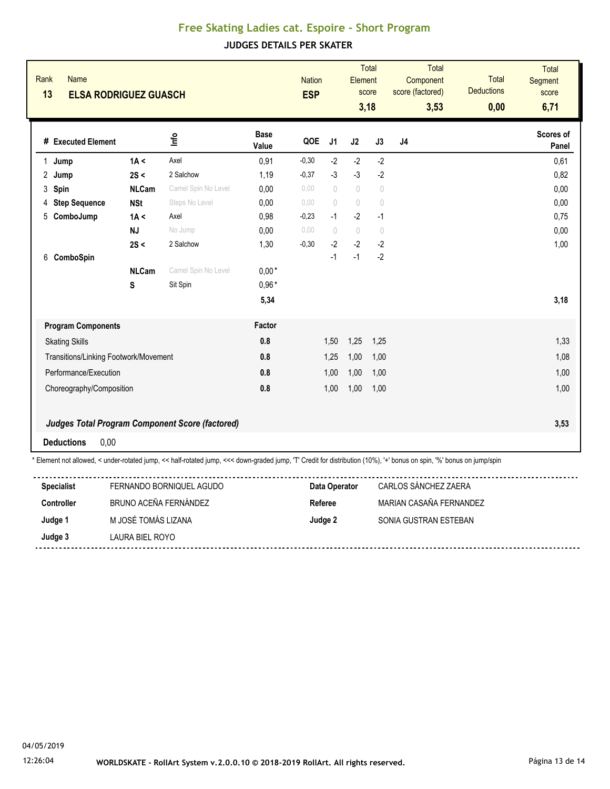| Rank<br><b>Name</b><br>13<br><b>ELSA RODRIGUEZ GUASCH</b>                                                                                                             |                   |                                                        |                            | <b>Nation</b><br><b>ESP</b> |                | Element                          | <b>Total</b><br>score<br>3,18 | Total<br>Component<br>score (factored)<br>3,53 | Total<br><b>Deductions</b><br>0,00 | <b>Total</b><br><b>Segment</b><br>score<br>6,71 |
|-----------------------------------------------------------------------------------------------------------------------------------------------------------------------|-------------------|--------------------------------------------------------|----------------------------|-----------------------------|----------------|----------------------------------|-------------------------------|------------------------------------------------|------------------------------------|-------------------------------------------------|
| # Executed Element                                                                                                                                                    |                   | ۴u                                                     | <b>Base</b><br>Value       | QOE                         | J <sub>1</sub> | J2                               | J3                            | J <sub>4</sub>                                 |                                    | Scores of<br>Panel                              |
| Jump<br>1                                                                                                                                                             | 1A <              | Axel                                                   | 0,91                       | $-0,30$                     | $-2$           | $-2$                             | $-2$                          |                                                |                                    | 0,61                                            |
| Jump<br>$^{2}$                                                                                                                                                        | 2S <              | 2 Salchow                                              | 1,19                       | $-0,37$                     | $-3$           | $-3$                             | $-2$                          |                                                |                                    | 0,82                                            |
| Spin<br>3                                                                                                                                                             | <b>NLCam</b>      | Camel Spin No Level                                    | 0,00                       | 0,00                        | $\bigcirc$     | $\begin{array}{c} \n\end{array}$ | $\bigcirc$                    |                                                |                                    | 0,00                                            |
| 4 Step Sequence                                                                                                                                                       | <b>NSt</b>        | Steps No Level                                         | 0.00                       | 0.00                        | $\bigcap$      | $\begin{array}{c} \n\end{array}$ | $\sqrt{ }$                    |                                                |                                    | 0,00                                            |
| ComboJump<br>5                                                                                                                                                        | 1A <              | Axel                                                   | 0,98                       | $-0,23$                     | $-1$           | $-2$                             | $-1$                          |                                                |                                    | 0,75                                            |
|                                                                                                                                                                       | <b>NJ</b>         | No Jump                                                | 0,00                       | 0,00                        | $\bigcap$      | $\theta$                         | $\overline{0}$                |                                                |                                    | 0,00                                            |
|                                                                                                                                                                       | 2S <              | 2 Salchow                                              | 1,30                       | $-0,30$                     | $-2$           | $-2$                             | $-2$                          |                                                |                                    | 1,00                                            |
| 6 ComboSpin                                                                                                                                                           | <b>NLCam</b><br>S | Camel Spin No Level<br>Sit Spin                        | $0,00*$<br>$0,96*$<br>5,34 |                             | $-1$           | $-1$                             | $-2$                          |                                                |                                    | 3,18                                            |
|                                                                                                                                                                       |                   |                                                        |                            |                             |                |                                  |                               |                                                |                                    |                                                 |
| <b>Program Components</b>                                                                                                                                             |                   |                                                        | Factor                     |                             |                |                                  |                               |                                                |                                    |                                                 |
| <b>Skating Skills</b>                                                                                                                                                 |                   |                                                        | 0.8                        |                             | 1,50           | 1,25                             | 1,25                          |                                                |                                    | 1,33                                            |
| Transitions/Linking Footwork/Movement                                                                                                                                 |                   |                                                        | 0.8                        |                             | 1,25           | 1,00                             | 1,00                          |                                                |                                    | 1,08                                            |
| Performance/Execution                                                                                                                                                 |                   |                                                        | 0.8                        |                             | 1,00           | 1,00                             | 1,00                          |                                                |                                    | 1,00                                            |
| Choreography/Composition                                                                                                                                              |                   |                                                        | 0.8                        |                             | 1,00           | 1,00                             | 1,00                          |                                                |                                    | 1,00                                            |
|                                                                                                                                                                       |                   | <b>Judges Total Program Component Score (factored)</b> |                            |                             |                |                                  |                               |                                                |                                    | 3,53                                            |
| <b>Deductions</b><br>0,00                                                                                                                                             |                   |                                                        |                            |                             |                |                                  |                               |                                                |                                    |                                                 |
| * Element not allowed, < under-rotated jump, << half-rotated jump, <<< down-graded jump, 'T' Credit for distribution (10%), '+' bonus on spin, '%' bonus on jump/spin |                   |                                                        |                            |                             |                |                                  |                               |                                                |                                    |                                                 |

| <b>Specialist</b> | FERNANDO BORNIQUEL AGUDO | Data Operator | CARLOS SÁNCHEZ ZAERA    |
|-------------------|--------------------------|---------------|-------------------------|
| <b>Controller</b> | BRUNO ACEÑA FERNÁNDEZ    | Referee       | MARIAN CASAÑA FERNANDEZ |
| Judge 1           | M JOSÉ TOMÁS LIZANA      | Judge 2       | SONIA GUSTRAN ESTEBAN   |
| Judge 3           | LAURA BIEL ROYO          |               |                         |